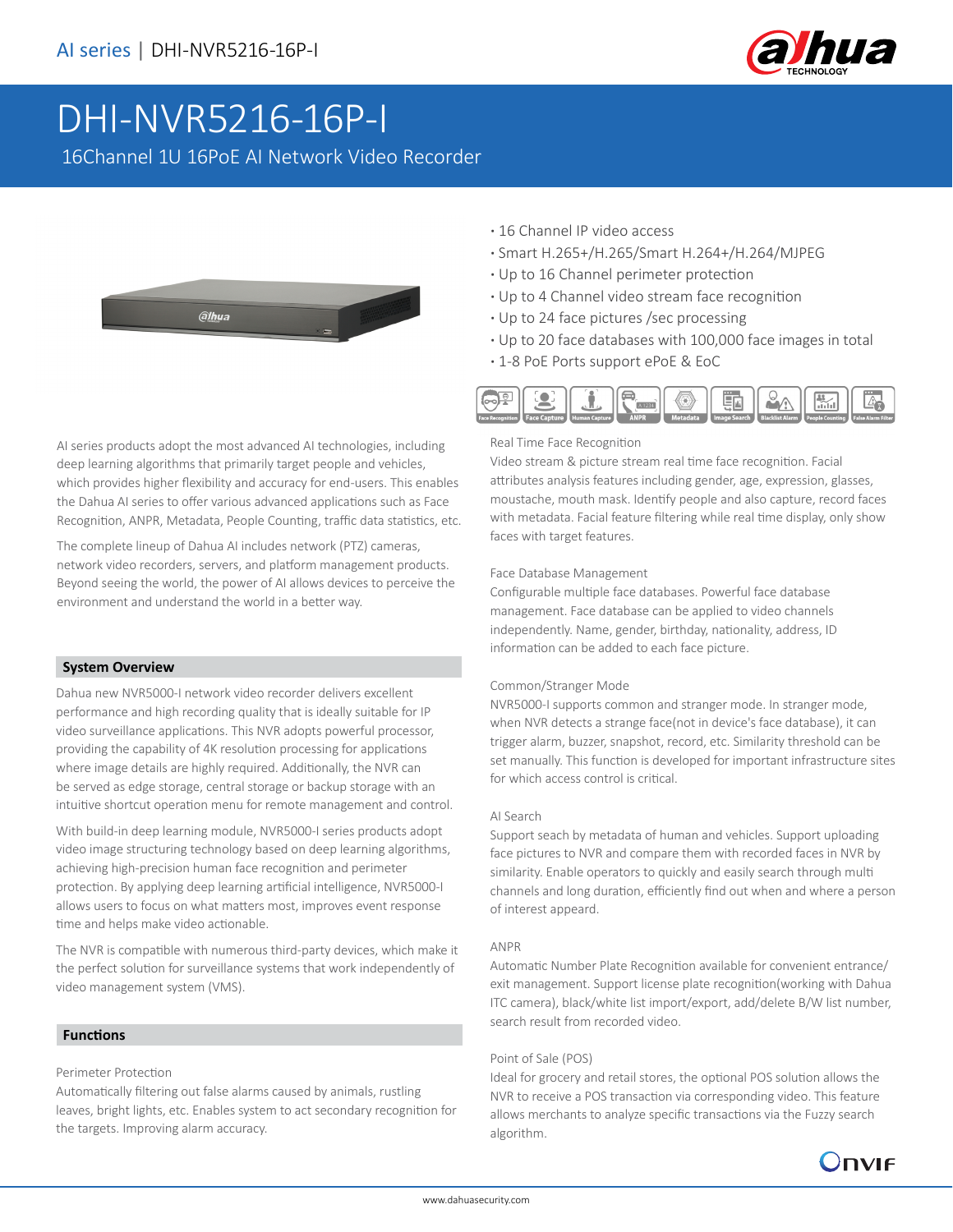

# DHI-NVR5216-16P-I

16Channel 1U 16PoE AI Network Video Recorder



AI series products adopt the most advanced AI technologies, including deep learning algorithms that primarily target people and vehicles, which provides higher flexibility and accuracy for end-users. This enables the Dahua AI series to offer various advanced applications such as Face Recognition, ANPR, Metadata, People Counting, traffic data statistics, etc.

The complete lineup of Dahua AI includes network (PTZ) cameras, network video recorders, servers, and platform management products. Beyond seeing the world, the power of AI allows devices to perceive the environment and understand the world in a better way.

#### **System Overview**

Dahua new NVR5000-I network video recorder delivers excellent performance and high recording quality that is ideally suitable for IP video surveillance applications. This NVR adopts powerful processor, providing the capability of 4K resolution processing for applications where image details are highly required. Additionally, the NVR can be served as edge storage, central storage or backup storage with an intuitive shortcut operation menu for remote management and control.

With build-in deep learning module, NVR5000-I series products adopt video image structuring technology based on deep learning algorithms, achieving high-precision human face recognition and perimeter protection. By applying deep learning artificial intelligence, NVR5000-I allows users to focus on what matters most, improves event response time and helps make video actionable.

The NVR is compatible with numerous third-party devices, which make it the perfect solution for surveillance systems that work independently of video management system (VMS).

#### **Functions**

#### Perimeter Protection

Automatically filtering out false alarms caused by animals, rustling leaves, bright lights, etc. Enables system to act secondary recognition for the targets. Improving alarm accuracy.

- **·** 16 Channel IP video access
- **·** Smart H.265+/H.265/Smart H.264+/H.264/MJPEG
- **·** Up to 16 Channel perimeter protection
- **·** Up to 4 Channel video stream face recognition
- **·** Up to 24 face pictures /sec processing
- **·** Up to 20 face databases with 100,000 face images in total
- **·** 1-8 PoE Ports support ePoE & EoC



#### Real Time Face Recognition

Video stream & picture stream real time face recognition. Facial attributes analysis features including gender, age, expression, glasses, moustache, mouth mask. Identify people and also capture, record faces with metadata. Facial feature filtering while real time display, only show faces with target features.

#### Face Database Management

Configurable multiple face databases. Powerful face database management. Face database can be applied to video channels independently. Name, gender, birthday, nationality, address, ID information can be added to each face picture.

#### Common/Stranger Mode

NVR5000-I supports common and stranger mode. In stranger mode, when NVR detects a strange face(not in device's face database), it can trigger alarm, buzzer, snapshot, record, etc. Similarity threshold can be set manually. This function is developed for important infrastructure sites for which access control is critical.

#### AI Search

Support seach by metadata of human and vehicles. Support uploading face pictures to NVR and compare them with recorded faces in NVR by similarity. Enable operators to quickly and easily search through multi channels and long duration, efficiently find out when and where a person of interest appeard.

#### ANPR

Automatic Number Plate Recognition available for convenient entrance/ exit management. Support license plate recognition(working with Dahua ITC camera), black/white list import/export, add/delete B/W list number, search result from recorded video.

#### Point of Sale (POS)

Ideal for grocery and retail stores, the optional POS solution allows the NVR to receive a POS transaction via corresponding video. This feature allows merchants to analyze specific transactions via the Fuzzy search algorithm.

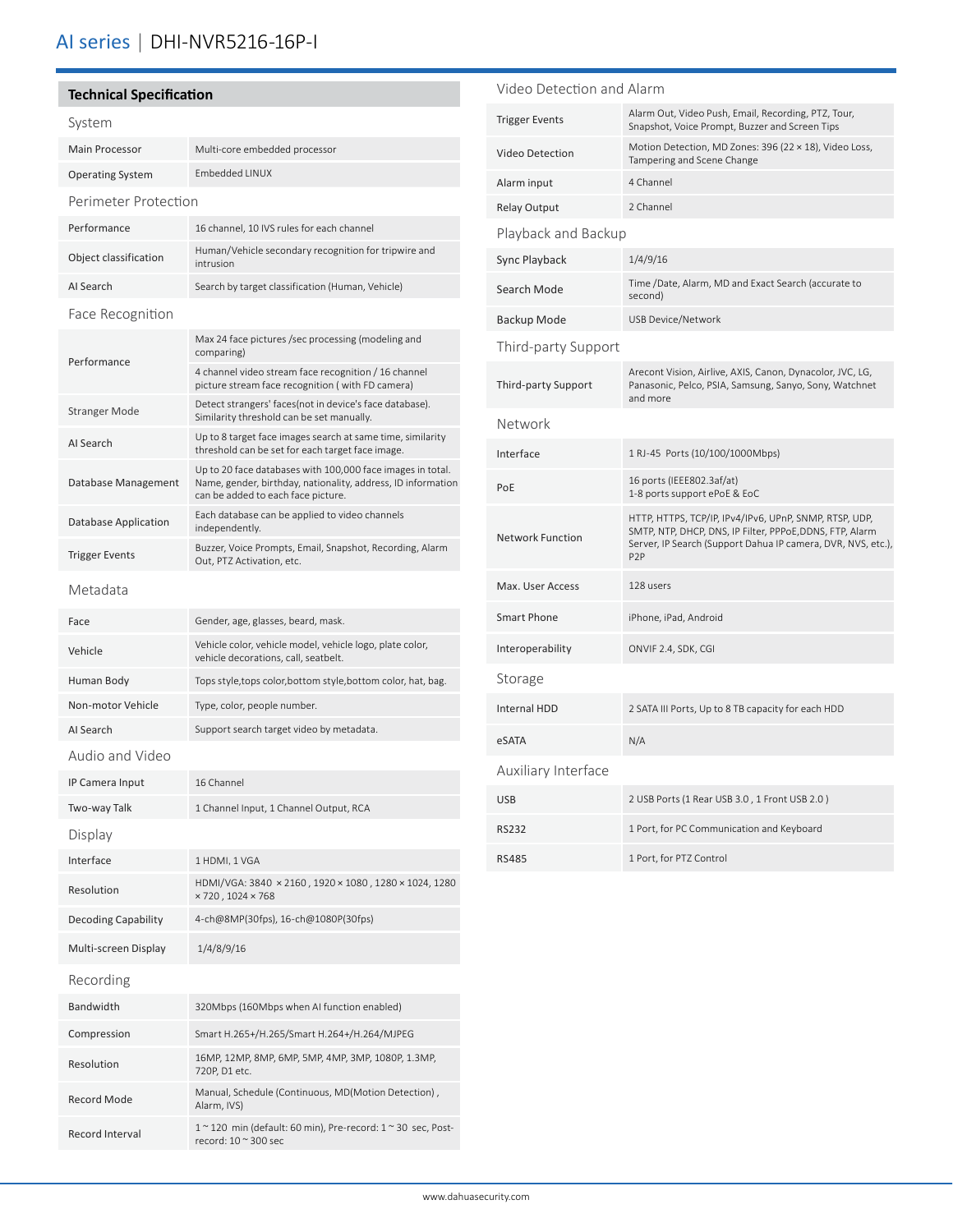# AI series | DHI-NVR5216-16P-I

### **Technical Specification** System Main Processor Multi-core embedded processor Operating System Embedded LINUX Perimeter Protection Performance 16 channel, 10 IVS rules for each channel Object classification Human/Vehicle secondary recognition for tripwire and intrusion AI Search Search by target classification (Human, Vehicle) Face Recognition Performance Max 24 face pictures /sec processing (modeling and comparing) 4 channel video stream face recognition / 16 channel picture stream face recognition ( with FD camera) Stranger Mode Detect strangers' faces(not in device's face database). Similarity threshold can be set manually. AI Search Up to 8 target face images search at same time, similarity threshold can be set for each target face image. Database Management Up to 20 face databases with 100,000 face images in total. Name, gender, birthday, nationality, address, ID information can be added to each face picture. Database Application Each database can be applied to video channels independently. Trigger Events Buzzer, Voice Prompts, Email, Snapshot, Recording, Alarm Out, PTZ Activation, etc. Metadata Face Gender, age, glasses, beard, mask. Vehicle Vehicle color, vehicle model, vehicle logo, plate color, vehicle decorations, call, seatbelt. Human Body Tops style, tops color, bottom style, bottom color, hat, bag. Non-motor Vehicle Type, color, people number. AI Search Support search target video by metadata. Audio and Video IP Camera Input 16 Channel Two-way Talk 1 Channel Input, 1 Channel Output, RCA Display Interface 1 HDMI, 1 VGA Resolution HDMI/VGA: 3840 × 2160 , 1920 × 1080 , 1280 × 1024, 1280  $\times$  720, 1024  $\times$  768 Decoding Capability 4-ch@8MP(30fps), 16-ch@1080P(30fps) Multi-screen Display 1/4/8/9/16 Recording Bandwidth 320Mbps (160Mbps when AI function enabled) Compression Smart H.265+/H.265/Smart H.264+/H.264/MJPEG Resolution 16MP, 12MP, 8MP, 6MP, 5MP, 4MP, 3MP, 1080P, 1.3MP, 720P, D1 etc. Record Mode Manual, Schedule (Continuous, MD(Motion Detection) , Alarm, IVS) Record Interval 1 ~ 120 min (default: 60 min), Pre-record: 1 ~ 30 sec, Post-

record: 10 ~ 300 sec

| Video Detection and Alarm  |                                                                                                                                                                                                        |  |  |
|----------------------------|--------------------------------------------------------------------------------------------------------------------------------------------------------------------------------------------------------|--|--|
| <b>Trigger Events</b>      | Alarm Out, Video Push, Email, Recording, PTZ, Tour,<br>Snapshot, Voice Prompt, Buzzer and Screen Tips                                                                                                  |  |  |
| Video Detection            | Motion Detection, MD Zones: 396 (22 × 18), Video Loss,<br>Tampering and Scene Change                                                                                                                   |  |  |
| Alarm input                | 4 Channel                                                                                                                                                                                              |  |  |
| <b>Relay Output</b>        | 2 Channel                                                                                                                                                                                              |  |  |
| Playback and Backup        |                                                                                                                                                                                                        |  |  |
| Sync Playback              | 1/4/9/16                                                                                                                                                                                               |  |  |
| Search Mode                | Time /Date, Alarm, MD and Exact Search (accurate to<br>second)                                                                                                                                         |  |  |
| Backup Mode                | <b>USB Device/Network</b>                                                                                                                                                                              |  |  |
| Third-party Support        |                                                                                                                                                                                                        |  |  |
| <b>Third-party Support</b> | Arecont Vision, Airlive, AXIS, Canon, Dynacolor, JVC, LG,<br>Panasonic, Pelco, PSIA, Samsung, Sanyo, Sony, Watchnet<br>and more                                                                        |  |  |
| Network                    |                                                                                                                                                                                                        |  |  |
| Interface                  | 1 RJ-45 Ports (10/100/1000Mbps)                                                                                                                                                                        |  |  |
| PoE                        | 16 ports (IEEE802.3af/at)<br>1-8 ports support ePoE & EoC                                                                                                                                              |  |  |
| <b>Network Function</b>    | HTTP, HTTPS, TCP/IP, IPv4/IPv6, UPnP, SNMP, RTSP, UDP,<br>SMTP, NTP, DHCP, DNS, IP Filter, PPPoE, DDNS, FTP, Alarm<br>Server, IP Search (Support Dahua IP camera, DVR, NVS, etc.),<br>P <sub>2</sub> P |  |  |
| Max. User Access           | 128 users                                                                                                                                                                                              |  |  |
| <b>Smart Phone</b>         | iPhone, iPad, Android                                                                                                                                                                                  |  |  |
| Interoperability           | ONVIF 2.4, SDK, CGI                                                                                                                                                                                    |  |  |
| Storage                    |                                                                                                                                                                                                        |  |  |
| <b>Internal HDD</b>        | 2 SATA III Ports, Up to 8 TB capacity for each HDD                                                                                                                                                     |  |  |
| eSATA                      | N/A                                                                                                                                                                                                    |  |  |
| Auxiliary Interface        |                                                                                                                                                                                                        |  |  |
| <b>USB</b>                 | 2 USB Ports (1 Rear USB 3.0, 1 Front USB 2.0)                                                                                                                                                          |  |  |
| <b>RS232</b>               | 1 Port, for PC Communication and Keyboard                                                                                                                                                              |  |  |
| <b>RS485</b>               | 1 Port, for PTZ Control                                                                                                                                                                                |  |  |